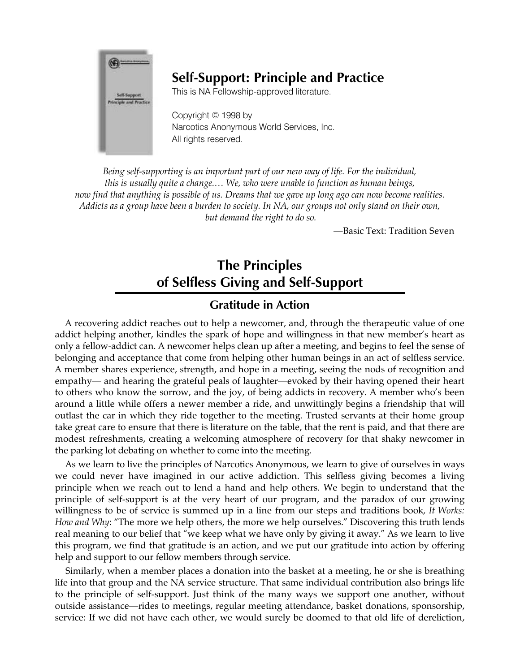

### **Self-Support: Principle and Practice**

This is NA Fellowship-approved literature.

Copyright © 1998 by Narcotics Anonymous World Services, Inc. All rights reserved.

*Being self-supporting is an important part of our new way of life. For the individual, this is usually quite a change.… We, who were unable to function as human beings, now find that anything is possible of us. Dreams that we gave up long ago can now become realities. Addicts as a group have been a burden to society. In NA, our groups not only stand on their own, but demand the right to do so.* 

*—*Basic Text: Tradition Seven

# **The Principles of Selfless Giving and Self-Support**

#### **Gratitude in Action**

A recovering addict reaches out to help a newcomer, and, through the therapeutic value of one addict helping another, kindles the spark of hope and willingness in that new member's heart as only a fellow-addict can. A newcomer helps clean up after a meeting, and begins to feel the sense of belonging and acceptance that come from helping other human beings in an act of selfless service. A member shares experience, strength, and hope in a meeting, seeing the nods of recognition and empathy— and hearing the grateful peals of laughter—evoked by their having opened their heart to others who know the sorrow, and the joy, of being addicts in recovery. A member who's been around a little while offers a newer member a ride, and unwittingly begins a friendship that will outlast the car in which they ride together to the meeting. Trusted servants at their home group take great care to ensure that there is literature on the table, that the rent is paid, and that there are modest refreshments, creating a welcoming atmosphere of recovery for that shaky newcomer in the parking lot debating on whether to come into the meeting.

As we learn to live the principles of Narcotics Anonymous, we learn to give of ourselves in ways we could never have imagined in our active addiction. This selfless giving becomes a living principle when we reach out to lend a hand and help others. We begin to understand that the principle of self-support is at the very heart of our program, and the paradox of our growing willingness to be of service is summed up in a line from our steps and traditions book*, It Works: How and Why*: "The more we help others, the more we help ourselves." Discovering this truth lends real meaning to our belief that "we keep what we have only by giving it away." As we learn to live this program, we find that gratitude is an action, and we put our gratitude into action by offering help and support to our fellow members through service.

Similarly, when a member places a donation into the basket at a meeting, he or she is breathing life into that group and the NA service structure. That same individual contribution also brings life to the principle of self-support. Just think of the many ways we support one another, without outside assistance—rides to meetings, regular meeting attendance, basket donations, sponsorship, service: If we did not have each other, we would surely be doomed to that old life of dereliction,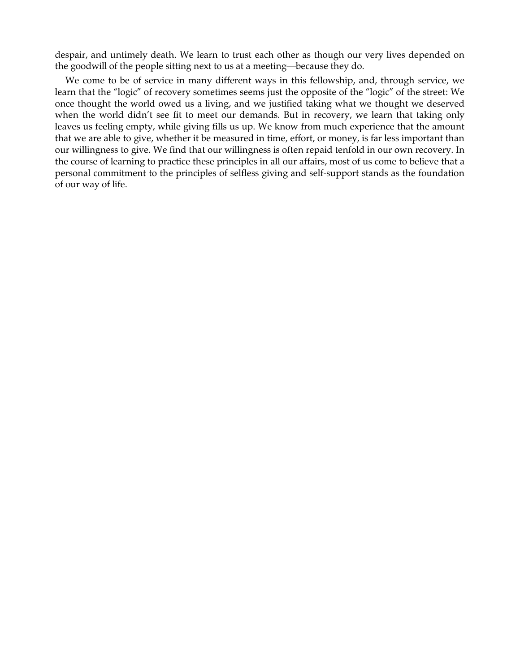despair, and untimely death. We learn to trust each other as though our very lives depended on the goodwill of the people sitting next to us at a meeting—because they do.

We come to be of service in many different ways in this fellowship, and, through service, we learn that the "logic" of recovery sometimes seems just the opposite of the "logic" of the street: We once thought the world owed us a living, and we justified taking what we thought we deserved when the world didn't see fit to meet our demands. But in recovery, we learn that taking only leaves us feeling empty, while giving fills us up. We know from much experience that the amount that we are able to give, whether it be measured in time, effort, or money, is far less important than our willingness to give. We find that our willingness is often repaid tenfold in our own recovery. In the course of learning to practice these principles in all our affairs, most of us come to believe that a personal commitment to the principles of selfless giving and self-support stands as the foundation of our way of life.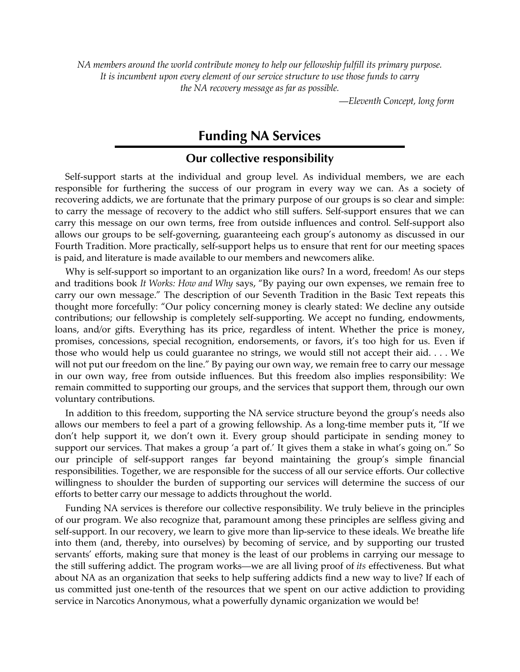*NA members around the world contribute money to help our fellowship fulfill its primary purpose. It is incumbent upon every element of our service structure to use those funds to carry the NA recovery message as far as possible.* 

*—Eleventh Concept, long form* 

## **Funding NA Services**

#### **Our collective responsibility**

Self-support starts at the individual and group level. As individual members, we are each responsible for furthering the success of our program in every way we can. As a society of recovering addicts, we are fortunate that the primary purpose of our groups is so clear and simple: to carry the message of recovery to the addict who still suffers. Self-support ensures that we can carry this message on our own terms, free from outside influences and control. Self-support also allows our groups to be self-governing, guaranteeing each group's autonomy as discussed in our Fourth Tradition. More practically, self-support helps us to ensure that rent for our meeting spaces is paid, and literature is made available to our members and newcomers alike.

Why is self-support so important to an organization like ours? In a word, freedom! As our steps and traditions book *It Works: How and Why* says, "By paying our own expenses, we remain free to carry our own message." The description of our Seventh Tradition in the Basic Text repeats this thought more forcefully: "Our policy concerning money is clearly stated: We decline any outside contributions; our fellowship is completely self-supporting. We accept no funding, endowments, loans, and/or gifts. Everything has its price, regardless of intent. Whether the price is money, promises, concessions, special recognition, endorsements, or favors, it's too high for us. Even if those who would help us could guarantee no strings, we would still not accept their aid. . . . We will not put our freedom on the line." By paying our own way, we remain free to carry our message in our own way, free from outside influences. But this freedom also implies responsibility: We remain committed to supporting our groups, and the services that support them, through our own voluntary contributions.

In addition to this freedom, supporting the NA service structure beyond the group's needs also allows our members to feel a part of a growing fellowship. As a long-time member puts it, "If we don't help support it, we don't own it. Every group should participate in sending money to support our services. That makes a group 'a part of.' It gives them a stake in what's going on." So our principle of self-support ranges far beyond maintaining the group's simple financial responsibilities. Together, we are responsible for the success of all our service efforts. Our collective willingness to shoulder the burden of supporting our services will determine the success of our efforts to better carry our message to addicts throughout the world.

Funding NA services is therefore our collective responsibility. We truly believe in the principles of our program. We also recognize that, paramount among these principles are selfless giving and self-support. In our recovery, we learn to give more than lip-service to these ideals. We breathe life into them (and, thereby, into ourselves) by becoming of service, and by supporting our trusted servants' efforts, making sure that money is the least of our problems in carrying our message to the still suffering addict. The program works—we are all living proof of *its* effectiveness. But what about NA as an organization that seeks to help suffering addicts find a new way to live? If each of us committed just one-tenth of the resources that we spent on our active addiction to providing service in Narcotics Anonymous, what a powerfully dynamic organization we would be!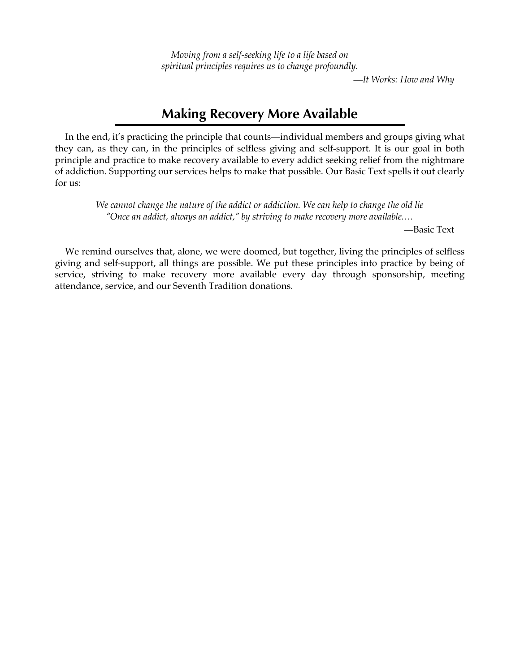*Moving from a self-seeking life to a life based on spiritual principles requires us to change profoundly.* 

*—It Works: How and Why* 

### **Making Recovery More Available**

In the end, it's practicing the principle that counts—individual members and groups giving what they can, as they can, in the principles of selfless giving and self-support. It is our goal in both principle and practice to make recovery available to every addict seeking relief from the nightmare of addiction. Supporting our services helps to make that possible. Our Basic Text spells it out clearly for us:

*We cannot change the nature of the addict or addiction. We can help to change the old lie "Once an addict, always an addict," by striving to make recovery more available.…* 

*—*Basic Text

We remind ourselves that, alone, we were doomed, but together, living the principles of selfless giving and self-support, all things are possible. We put these principles into practice by being of service, striving to make recovery more available every day through sponsorship, meeting attendance, service, and our Seventh Tradition donations.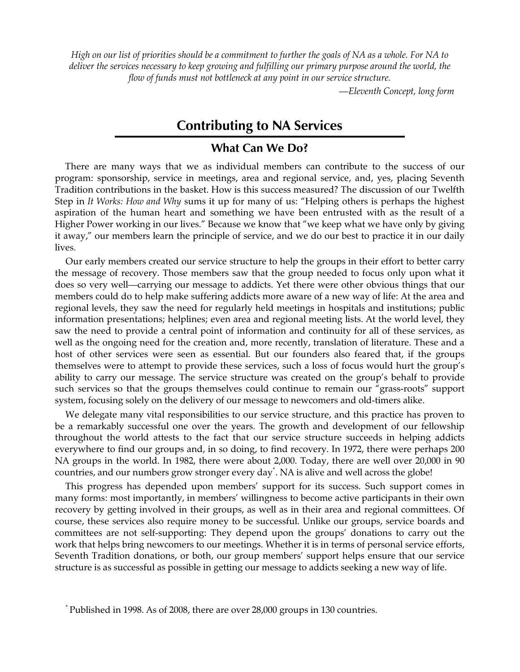*High on our list of priorities should be a commitment to further the goals of NA as a whole. For NA to deliver the services necessary to keep growing and fulfilling our primary purpose around the world, the flow of funds must not bottleneck at any point in our service structure.* 

*—Eleventh Concept, long form* 

### **Contributing to NA Services**

#### **What Can We Do?**

There are many ways that we as individual members can contribute to the success of our program: sponsorship, service in meetings, area and regional service, and, yes, placing Seventh Tradition contributions in the basket. How is this success measured? The discussion of our Twelfth Step in *It Works: How and Why* sums it up for many of us: "Helping others is perhaps the highest aspiration of the human heart and something we have been entrusted with as the result of a Higher Power working in our lives." Because we know that "we keep what we have only by giving it away," our members learn the principle of service, and we do our best to practice it in our daily lives.

Our early members created our service structure to help the groups in their effort to better carry the message of recovery. Those members saw that the group needed to focus only upon what it does so very well—carrying our message to addicts. Yet there were other obvious things that our members could do to help make suffering addicts more aware of a new way of life: At the area and regional levels, they saw the need for regularly held meetings in hospitals and institutions; public information presentations; helplines; even area and regional meeting lists. At the world level, they saw the need to provide a central point of information and continuity for all of these services, as well as the ongoing need for the creation and, more recently, translation of literature. These and a host of other services were seen as essential. But our founders also feared that, if the groups themselves were to attempt to provide these services, such a loss of focus would hurt the group's ability to carry our message. The service structure was created on the group's behalf to provide such services so that the groups themselves could continue to remain our "grass-roots" support system, focusing solely on the delivery of our message to newcomers and old-timers alike.

We delegate many vital responsibilities to our service structure, and this practice has proven to be a remarkably successful one over the years. The growth and development of our fellowship throughout the world attests to the fact that our service structure succeeds in helping addicts everywhere to find our groups and, in so doing, to find recovery. In 1972, there were perhaps 200 NA groups in the world. In 1982, there were about 2,000. Today, there are well over 20,000 in 90 countries, and our numbers grow stronger every day\* . NA is alive and well across the globe!

This progress has depended upon members' support for its success. Such support comes in many forms: most importantly, in members' willingness to become active participants in their own recovery by getting involved in their groups, as well as in their area and regional committees. Of course, these services also require money to be successful. Unlike our groups, service boards and committees are not self-supporting: They depend upon the groups' donations to carry out the work that helps bring newcomers to our meetings. Whether it is in terms of personal service efforts, Seventh Tradition donations, or both, our group members' support helps ensure that our service structure is as successful as possible in getting our message to addicts seeking a new way of life.

<sup>\*</sup> Published in 1998. As of 2008, there are over 28,000 groups in 130 countries.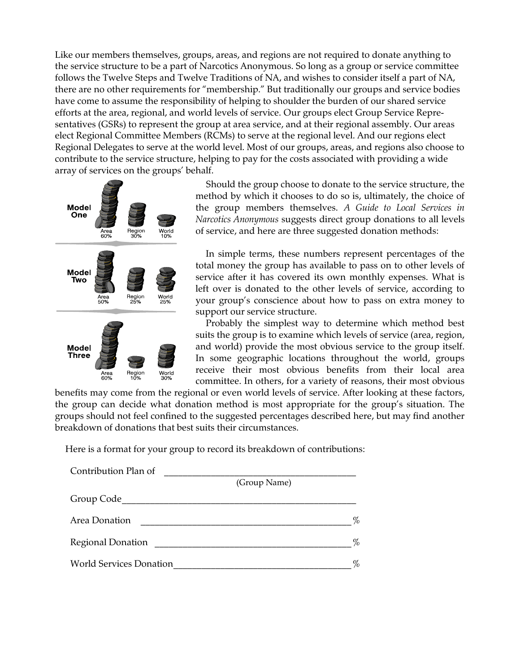Like our members themselves, groups, areas, and regions are not required to donate anything to the service structure to be a part of Narcotics Anonymous. So long as a group or service committee follows the Twelve Steps and Twelve Traditions of NA, and wishes to consider itself a part of NA, there are no other requirements for "membership." But traditionally our groups and service bodies have come to assume the responsibility of helping to shoulder the burden of our shared service efforts at the area, regional, and world levels of service. Our groups elect Group Service Representatives (GSRs) to represent the group at area service, and at their regional assembly. Our areas elect Regional Committee Members (RCMs) to serve at the regional level. And our regions elect Regional Delegates to serve at the world level. Most of our groups, areas, and regions also choose to contribute to the service structure, helping to pay for the costs associated with providing a wide array of services on the groups' behalf.



Should the group choose to donate to the service structure, the method by which it chooses to do so is, ultimately, the choice of the group members themselves. *A Guide to Local Services in Narcotics Anonymous* suggests direct group donations to all levels of service, and here are three suggested donation methods:

In simple terms, these numbers represent percentages of the total money the group has available to pass on to other levels of service after it has covered its own monthly expenses. What is left over is donated to the other levels of service, according to your group's conscience about how to pass on extra money to support our service structure.

Probably the simplest way to determine which method best suits the group is to examine which levels of service (area, region, and world) provide the most obvious service to the group itself. In some geographic locations throughout the world, groups receive their most obvious benefits from their local area committee. In others, for a variety of reasons, their most obvious

benefits may come from the regional or even world levels of service. After looking at these factors, the group can decide what donation method is most appropriate for the group's situation. The groups should not feel confined to the suggested percentages described here, but may find another breakdown of donations that best suits their circumstances.

Here is a format for your group to record its breakdown of contributions:

| Contribution Plan of           |              |
|--------------------------------|--------------|
|                                | (Group Name) |
| Group Code                     |              |
| Area Donation                  | %            |
| <b>Regional Donation</b>       | %            |
| <b>World Services Donation</b> | %            |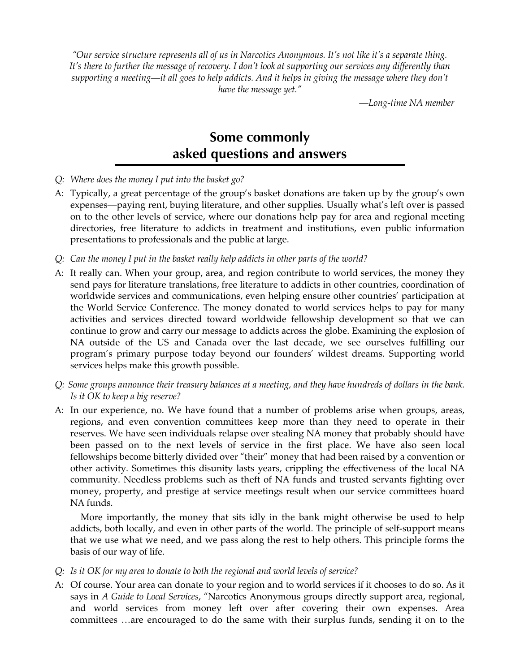*"Our service structure represents all of us in Narcotics Anonymous. It's not like it's a separate thing. It's there to further the message of recovery. I don't look at supporting our services any differently than supporting a meeting—it all goes to help addicts. And it helps in giving the message where they don't have the message yet."* 

*—Long-time NA member*

## **Some commonly asked questions and answers**

- *Q: Where does the money I put into the basket go?*
- A: Typically, a great percentage of the group's basket donations are taken up by the group's own expenses—paying rent, buying literature, and other supplies. Usually what's left over is passed on to the other levels of service, where our donations help pay for area and regional meeting directories, free literature to addicts in treatment and institutions, even public information presentations to professionals and the public at large.
- *Q: Can the money I put in the basket really help addicts in other parts of the world?*
- A: It really can. When your group, area, and region contribute to world services, the money they send pays for literature translations, free literature to addicts in other countries, coordination of worldwide services and communications, even helping ensure other countries' participation at the World Service Conference. The money donated to world services helps to pay for many activities and services directed toward worldwide fellowship development so that we can continue to grow and carry our message to addicts across the globe. Examining the explosion of NA outside of the US and Canada over the last decade, we see ourselves fulfilling our program's primary purpose today beyond our founders' wildest dreams. Supporting world services helps make this growth possible.
- *Q: Some groups announce their treasury balances at a meeting, and they have hundreds of dollars in the bank. Is it OK to keep a big reserve?*
- A: In our experience, no. We have found that a number of problems arise when groups, areas, regions, and even convention committees keep more than they need to operate in their reserves. We have seen individuals relapse over stealing NA money that probably should have been passed on to the next levels of service in the first place. We have also seen local fellowships become bitterly divided over "their" money that had been raised by a convention or other activity. Sometimes this disunity lasts years, crippling the effectiveness of the local NA community. Needless problems such as theft of NA funds and trusted servants fighting over money, property, and prestige at service meetings result when our service committees hoard NA funds.

More importantly, the money that sits idly in the bank might otherwise be used to help addicts, both locally, and even in other parts of the world. The principle of self-support means that we use what we need, and we pass along the rest to help others. This principle forms the basis of our way of life.

- *Q: Is it OK for my area to donate to both the regional and world levels of service?*
- A: Of course. Your area can donate to your region and to world services if it chooses to do so. As it says in *A Guide to Local Services*, "Narcotics Anonymous groups directly support area, regional, and world services from money left over after covering their own expenses. Area committees …are encouraged to do the same with their surplus funds, sending it on to the